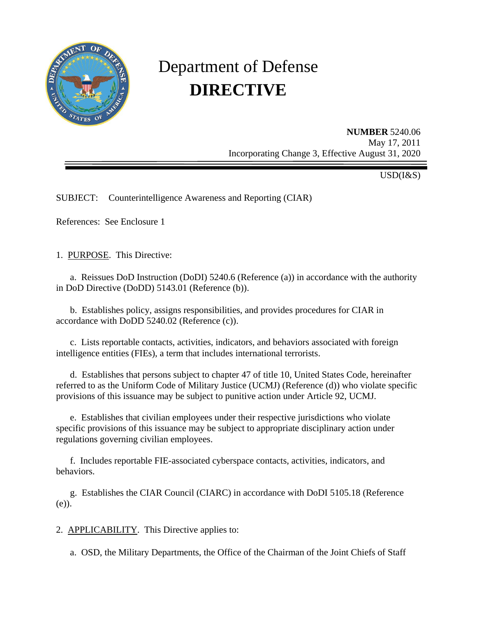

# Department of Defense **DIRECTIVE**

**NUMBER** 5240.06 May 17, 2011 Incorporating Change 3, Effective August 31, 2020

USD(I&S)

SUBJECT: Counterintelligence Awareness and Reporting (CIAR)

References: See Enclosure 1

1. PURPOSE. This Directive:

a. Reissues DoD Instruction (DoDI) 5240.6 (Reference (a)) in accordance with the authority in DoD Directive (DoDD) 5143.01 (Reference (b)).

 b. Establishes policy, assigns responsibilities, and provides procedures for CIAR in accordance with DoDD 5240.02 (Reference (c)).

c. Lists reportable contacts, activities, indicators, and behaviors associated with foreign intelligence entities (FIEs), a term that includes international terrorists.

 d. Establishes that persons subject to chapter 47 of title 10, United States Code, hereinafter referred to as the Uniform Code of Military Justice (UCMJ) (Reference (d)) who violate specific provisions of this issuance may be subject to punitive action under Article 92, UCMJ.

e. Establishes that civilian employees under their respective jurisdictions who violate specific provisions of this issuance may be subject to appropriate disciplinary action under regulations governing civilian employees.

 f. Includes reportable FIE-associated cyberspace contacts, activities, indicators, and behaviors.

 g. Establishes the CIAR Council (CIARC) in accordance with DoDI 5105.18 (Reference (e)).

2. APPLICABILITY. This Directive applies to:

a. OSD, the Military Departments, the Office of the Chairman of the Joint Chiefs of Staff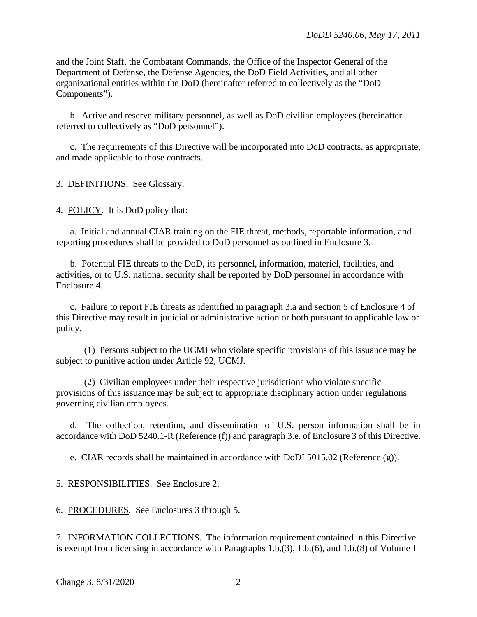and the Joint Staff, the Combatant Commands, the Office of the Inspector General of the Department of Defense, the Defense Agencies, the DoD Field Activities, and all other organizational entities within the DoD (hereinafter referred to collectively as the "DoD Components").

 b. Active and reserve military personnel, as well as DoD civilian employees (hereinafter referred to collectively as "DoD personnel").

 c. The requirements of this Directive will be incorporated into DoD contracts, as appropriate, and made applicable to those contracts.

3. DEFINITIONS. See Glossary.

4. POLICY. It is DoD policy that:

 a. Initial and annual CIAR training on the FIE threat, methods, reportable information, and reporting procedures shall be provided to DoD personnel as outlined in Enclosure 3.

 b. Potential FIE threats to the DoD, its personnel, information, materiel, facilities, and activities, or to U.S. national security shall be reported by DoD personnel in accordance with Enclosure 4.

c. Failure to report FIE threats as identified in paragraph 3.a and section 5 of Enclosure 4 of this Directive may result in judicial or administrative action or both pursuant to applicable law or policy.

 (1) Persons subject to the UCMJ who violate specific provisions of this issuance may be subject to punitive action under Article 92, UCMJ.

 (2) Civilian employees under their respective jurisdictions who violate specific provisions of this issuance may be subject to appropriate disciplinary action under regulations governing civilian employees.

d. The collection, retention, and dissemination of U.S. person information shall be in accordance with DoD 5240.1-R (Reference (f)) and paragraph 3.e. of Enclosure 3 of this Directive.

e. CIAR records shall be maintained in accordance with DoDI 5015.02 (Reference (g)).

5. RESPONSIBILITIES. See Enclosure 2.

6. PROCEDURES. See Enclosures 3 through 5.

7. INFORMATION COLLECTIONS. The information requirement contained in this Directive is exempt from licensing in accordance with Paragraphs 1.b.(3), 1.b.(6), and 1.b.(8) of Volume 1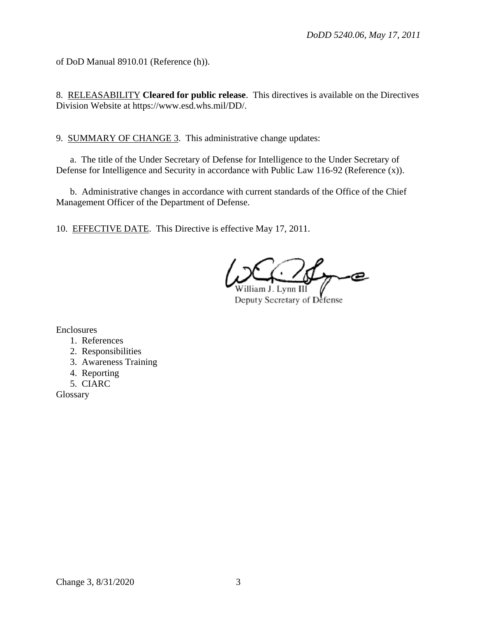of DoD Manual 8910.01 (Reference (h)).

8. RELEASABILITY **Cleared for public release**. This directives is available on the Directives Division Website at https://www.esd.whs.mil/DD/.

9. SUMMARY OF CHANGE 3. This administrative change updates:

a. The title of the Under Secretary of Defense for Intelligence to the Under Secretary of Defense for Intelligence and Security in accordance with Public Law 116-92 (Reference (x)).

b. Administrative changes in accordance with current standards of the Office of the Chief Management Officer of the Department of Defense.

10. EFFECTIVE DATE. This Directive is effective May 17, 2011.

يصر

Deputy Secretary of Defense

Enclosures

- 1. References
- 2. Responsibilities
- 3. Awareness Training
- 4. Reporting
- 5. CIARC

Glossary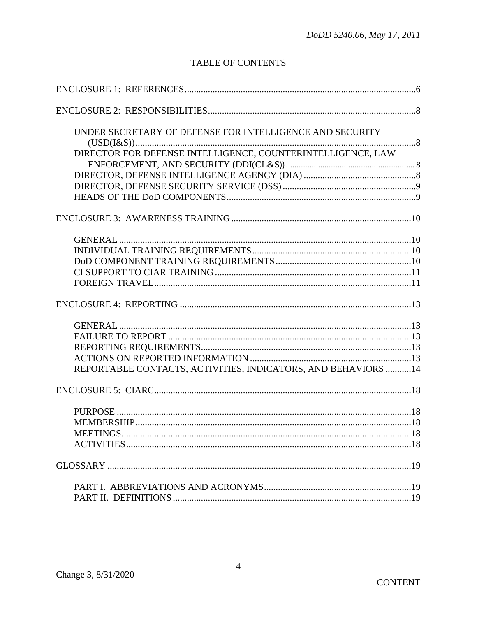# **TABLE OF CONTENTS**

| UNDER SECRETARY OF DEFENSE FOR INTELLIGENCE AND SECURITY       |  |
|----------------------------------------------------------------|--|
|                                                                |  |
| DIRECTOR FOR DEFENSE INTELLIGENCE, COUNTERINTELLIGENCE, LAW    |  |
|                                                                |  |
|                                                                |  |
|                                                                |  |
|                                                                |  |
|                                                                |  |
|                                                                |  |
|                                                                |  |
|                                                                |  |
|                                                                |  |
|                                                                |  |
|                                                                |  |
|                                                                |  |
|                                                                |  |
|                                                                |  |
|                                                                |  |
| REPORTABLE CONTACTS, ACTIVITIES, INDICATORS, AND BEHAVIORS  14 |  |
|                                                                |  |
|                                                                |  |
|                                                                |  |
|                                                                |  |
|                                                                |  |
|                                                                |  |
|                                                                |  |
|                                                                |  |
|                                                                |  |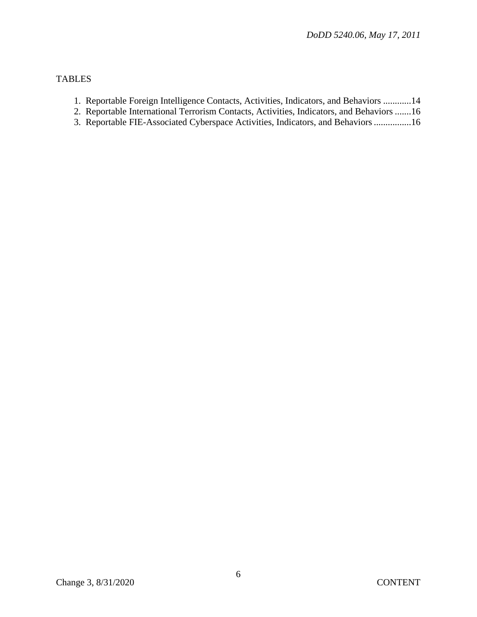## TABLES

- 1. Reportable Foreign Intelligence Contacts, Activities, Indicators, and Behaviors ............14
- 2. Reportable International Terrorism Contacts, Activities, Indicators, and Behaviors .......16
- 3. Reportable FIE-Associated Cyberspace Activities, Indicators, and Behaviors ................16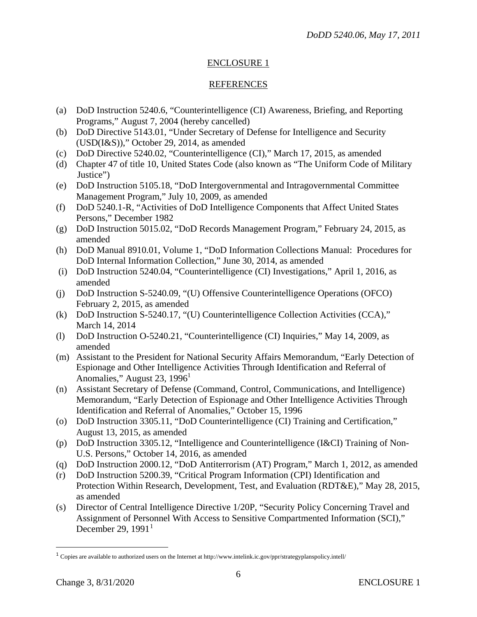## REFERENCES

- (a) DoD Instruction 5240.6, "Counterintelligence (CI) Awareness, Briefing, and Reporting Programs," August 7, 2004 (hereby cancelled)
- (b) DoD Directive 5143.01, "Under Secretary of Defense for Intelligence and Security (USD(I&S))," October 29, 2014, as amended
- (c) DoD Directive 5240.02, "Counterintelligence (CI)," March 17, 2015, as amended
- (d) Chapter 47 of title 10, United States Code (also known as "The Uniform Code of Military Justice")
- (e) DoD Instruction 5105.18, "DoD Intergovernmental and Intragovernmental Committee Management Program," July 10, 2009, as amended
- (f) DoD 5240.1-R, "Activities of DoD Intelligence Components that Affect United States Persons," December 1982
- (g) DoD Instruction 5015.02, "DoD Records Management Program," February 24, 2015, as amended
- (h) DoD Manual 8910.01, Volume 1, "DoD Information Collections Manual: Procedures for DoD Internal Information Collection," June 30, 2014, as amended
- (i) DoD Instruction 5240.04, "Counterintelligence (CI) Investigations," April 1, 2016, as amended
- (j) DoD Instruction S-5240.09, "(U) Offensive Counterintelligence Operations (OFCO) February 2, 2015, as amended
- (k) DoD Instruction S-5240.17, "(U) Counterintelligence Collection Activities (CCA)," March 14, 2014
- (l) DoD Instruction O-5240.21, "Counterintelligence (CI) Inquiries," May 14, 2009, as amended
- (m) Assistant to the President for National Security Affairs Memorandum, "Early Detection of Espionage and Other Intelligence Activities Through Identification and Referral of Anomalies," August 23, 1996<sup>1</sup>
- (n) Assistant Secretary of Defense (Command, Control, Communications, and Intelligence) Memorandum, "Early Detection of Espionage and Other Intelligence Activities Through Identification and Referral of Anomalies," October 15, 1996
- (o) DoD Instruction 3305.11, "DoD Counterintelligence (CI) Training and Certification," August 13, 2015, as amended
- (p) DoD Instruction 3305.12, "Intelligence and Counterintelligence (I&CI) Training of Non-U.S. Persons," October 14, 2016, as amended
- (q) DoD Instruction 2000.12, "DoD Antiterrorism (AT) Program," March 1, 2012, as amended
- (r) DoD Instruction 5200.39, "Critical Program Information (CPI) Identification and Protection Within Research, Development, Test, and Evaluation (RDT&E)," May 28, 2015, as amended
- (s) Director of Central Intelligence Directive 1/20P, "Security Policy Concerning Travel and Assignment of Personnel With Access to Sensitive Compartmented Information (SCI)," December 29,  $1991<sup>1</sup>$  $1991<sup>1</sup>$

 $\overline{\phantom{a}}$ 

<span id="page-5-0"></span><sup>1</sup> Copies are available to authorized users on the Internet at<http://www.intelink.ic.gov/ppr/strategyplanspolicy.intell/>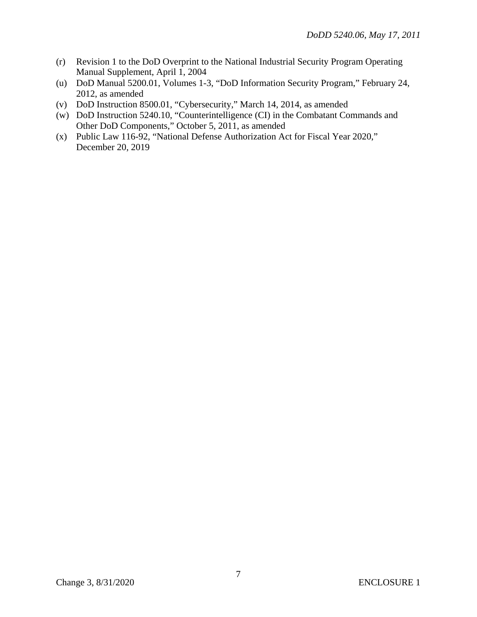- (r) Revision 1 to the DoD Overprint to the National Industrial Security Program Operating Manual Supplement, April 1, 2004
- (u) DoD Manual 5200.01, Volumes 1-3, "DoD Information Security Program," February 24, 2012, as amended
- (v) DoD Instruction 8500.01, "Cybersecurity," March 14, 2014, as amended
- (w) DoD Instruction 5240.10, "Counterintelligence (CI) in the Combatant Commands and Other DoD Components," October 5, 2011, as amended
- (x) Public Law 116-92, "National Defense Authorization Act for Fiscal Year 2020," December 20, 2019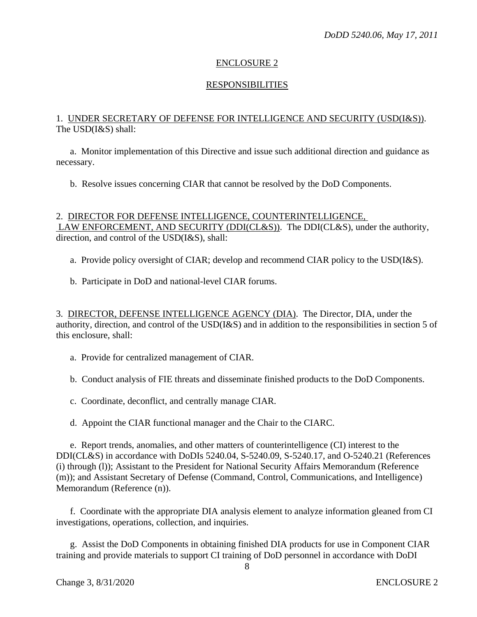#### **RESPONSIBILITIES**

#### 1. UNDER SECRETARY OF DEFENSE FOR INTELLIGENCE AND SECURITY (USD(I&S)). The USD(I&S) shall:

 a. Monitor implementation of this Directive and issue such additional direction and guidance as necessary.

b. Resolve issues concerning CIAR that cannot be resolved by the DoD Components.

#### 2. DIRECTOR FOR DEFENSE INTELLIGENCE, COUNTERINTELLIGENCE, LAW ENFORCEMENT, AND SECURITY (DDI(CL&S)). The DDI(CL&S), under the authority, direction, and control of the USD(I&S), shall:

a. Provide policy oversight of CIAR; develop and recommend CIAR policy to the USD(I&S).

b. Participate in DoD and national-level CIAR forums.

3. DIRECTOR, DEFENSE INTELLIGENCE AGENCY (DIA). The Director, DIA, under the authority, direction, and control of the USD(I&S) and in addition to the responsibilities in section 5 of this enclosure, shall:

a. Provide for centralized management of CIAR.

b. Conduct analysis of FIE threats and disseminate finished products to the DoD Components.

- c. Coordinate, deconflict, and centrally manage CIAR.
- d. Appoint the CIAR functional manager and the Chair to the CIARC.

 e. Report trends, anomalies, and other matters of counterintelligence (CI) interest to the DDI(CL&S) in accordance with DoDIs 5240.04, S-5240.09, S-5240.17, and O-5240.21 (References (i) through (l)); Assistant to the President for National Security Affairs Memorandum (Reference (m)); and Assistant Secretary of Defense (Command, Control, Communications, and Intelligence) Memorandum (Reference (n)).

 f. Coordinate with the appropriate DIA analysis element to analyze information gleaned from CI investigations, operations, collection, and inquiries.

 g. Assist the DoD Components in obtaining finished DIA products for use in Component CIAR training and provide materials to support CI training of DoD personnel in accordance with DoDI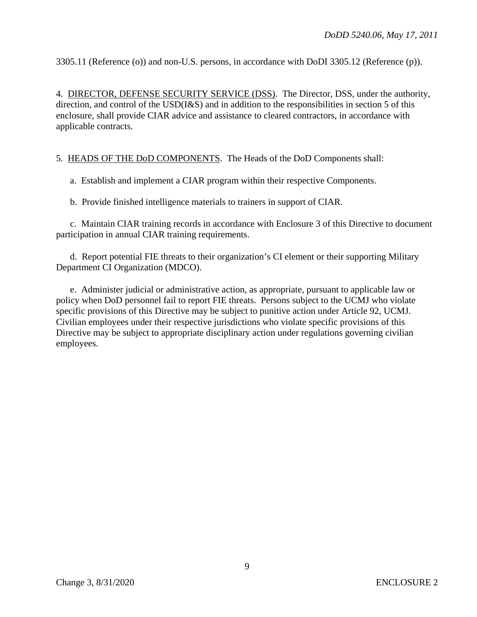3305.11 (Reference (o)) and non-U.S. persons, in accordance with DoDI 3305.12 (Reference (p)).

4. DIRECTOR, DEFENSE SECURITY SERVICE (DSS). The Director, DSS, under the authority, direction, and control of the USD(I&S) and in addition to the responsibilities in section 5 of this enclosure, shall provide CIAR advice and assistance to cleared contractors, in accordance with applicable contracts.

5. HEADS OF THE DoD COMPONENTS. The Heads of the DoD Components shall:

a. Establish and implement a CIAR program within their respective Components.

b. Provide finished intelligence materials to trainers in support of CIAR.

c. Maintain CIAR training records in accordance with Enclosure 3 of this Directive to document participation in annual CIAR training requirements.

d. Report potential FIE threats to their organization's CI element or their supporting Military Department CI Organization (MDCO).

e. Administer judicial or administrative action, as appropriate, pursuant to applicable law or policy when DoD personnel fail to report FIE threats. Persons subject to the UCMJ who violate specific provisions of this Directive may be subject to punitive action under Article 92, UCMJ. Civilian employees under their respective jurisdictions who violate specific provisions of this Directive may be subject to appropriate disciplinary action under regulations governing civilian employees.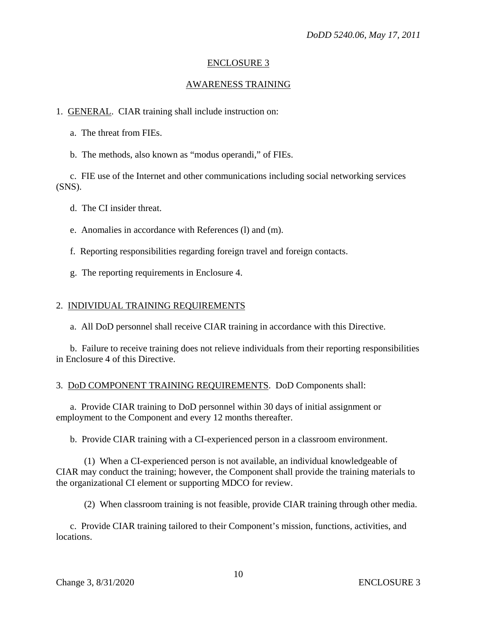#### AWARENESS TRAINING

1. GENERAL. CIAR training shall include instruction on:

a. The threat from FIEs.

b. The methods, also known as "modus operandi," of FIEs.

 c. FIE use of the Internet and other communications including social networking services (SNS).

d. The CI insider threat.

e. Anomalies in accordance with References (l) and (m).

f. Reporting responsibilities regarding foreign travel and foreign contacts.

g. The reporting requirements in Enclosure 4.

#### 2. INDIVIDUAL TRAINING REQUIREMENTS

a. All DoD personnel shall receive CIAR training in accordance with this Directive.

b. Failure to receive training does not relieve individuals from their reporting responsibilities in Enclosure 4 of this Directive.

#### 3. DoD COMPONENT TRAINING REQUIREMENTS. DoD Components shall:

 a. Provide CIAR training to DoD personnel within 30 days of initial assignment or employment to the Component and every 12 months thereafter.

b. Provide CIAR training with a CI-experienced person in a classroom environment.

 (1) When a CI-experienced person is not available, an individual knowledgeable of CIAR may conduct the training; however, the Component shall provide the training materials to the organizational CI element or supporting MDCO for review.

(2) When classroom training is not feasible, provide CIAR training through other media.

 c. Provide CIAR training tailored to their Component's mission, functions, activities, and locations.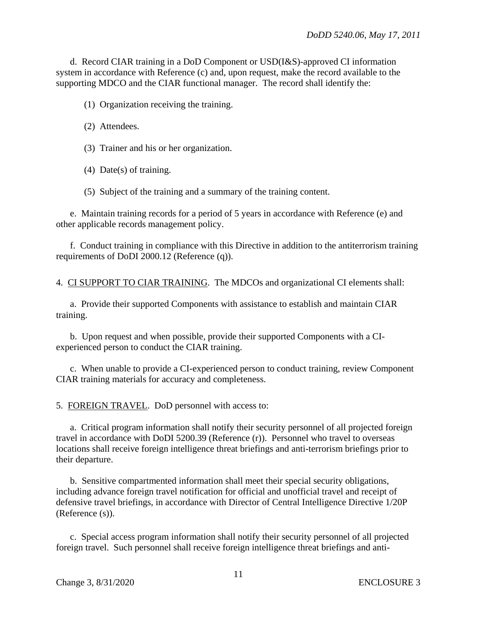d. Record CIAR training in a DoD Component or USD(I&S)-approved CI information system in accordance with Reference (c) and, upon request, make the record available to the supporting MDCO and the CIAR functional manager. The record shall identify the:

(1) Organization receiving the training.

(2) Attendees.

(3) Trainer and his or her organization.

(4) Date(s) of training.

(5) Subject of the training and a summary of the training content.

e. Maintain training records for a period of 5 years in accordance with Reference (e) and other applicable records management policy.

 f. Conduct training in compliance with this Directive in addition to the antiterrorism training requirements of DoDI 2000.12 (Reference (q)).

4. CI SUPPORT TO CIAR TRAINING. The MDCOs and organizational CI elements shall:

 a. Provide their supported Components with assistance to establish and maintain CIAR training.

 b. Upon request and when possible, provide their supported Components with a CIexperienced person to conduct the CIAR training.

 c. When unable to provide a CI-experienced person to conduct training, review Component CIAR training materials for accuracy and completeness.

5. FOREIGN TRAVEL. DoD personnel with access to:

a. Critical program information shall notify their security personnel of all projected foreign travel in accordance with DoDI 5200.39 (Reference (r)). Personnel who travel to overseas locations shall receive foreign intelligence threat briefings and anti-terrorism briefings prior to their departure.

 b. Sensitive compartmented information shall meet their special security obligations, including advance foreign travel notification for official and unofficial travel and receipt of defensive travel briefings, in accordance with Director of Central Intelligence Directive 1/20P (Reference (s)).

c. Special access program information shall notify their security personnel of all projected foreign travel. Such personnel shall receive foreign intelligence threat briefings and anti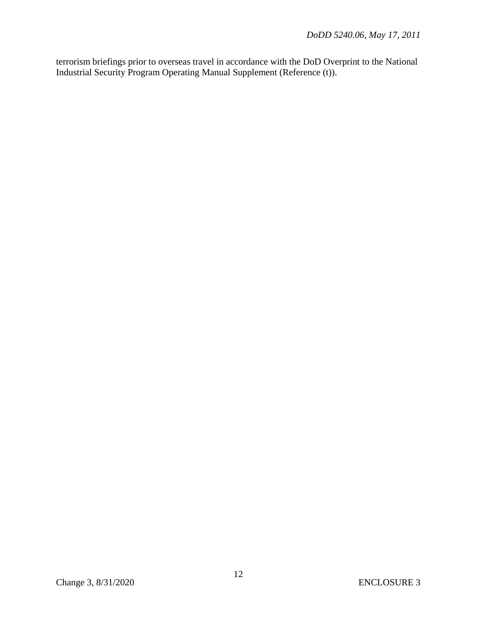terrorism briefings prior to overseas travel in accordance with the DoD Overprint to the National Industrial Security Program Operating Manual Supplement (Reference (t)).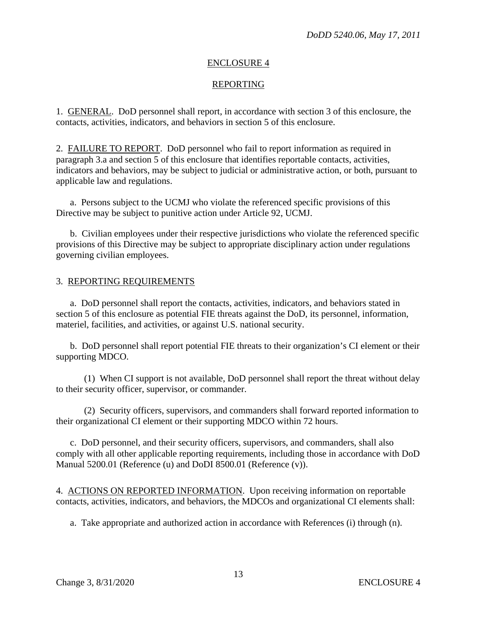#### REPORTING

1. GENERAL. DoD personnel shall report, in accordance with section 3 of this enclosure, the contacts, activities, indicators, and behaviors in section 5 of this enclosure.

2. FAILURE TO REPORT. DoD personnel who fail to report information as required in paragraph 3.a and section 5 of this enclosure that identifies reportable contacts, activities, indicators and behaviors, may be subject to judicial or administrative action, or both, pursuant to applicable law and regulations.

 a. Persons subject to the UCMJ who violate the referenced specific provisions of this Directive may be subject to punitive action under Article 92, UCMJ.

 b. Civilian employees under their respective jurisdictions who violate the referenced specific provisions of this Directive may be subject to appropriate disciplinary action under regulations governing civilian employees.

#### 3. REPORTING REQUIREMENTS

 a. DoD personnel shall report the contacts, activities, indicators, and behaviors stated in section 5 of this enclosure as potential FIE threats against the DoD, its personnel, information, materiel, facilities, and activities, or against U.S. national security.

 b. DoD personnel shall report potential FIE threats to their organization's CI element or their supporting MDCO.

 (1) When CI support is not available, DoD personnel shall report the threat without delay to their security officer, supervisor, or commander.

 (2) Security officers, supervisors, and commanders shall forward reported information to their organizational CI element or their supporting MDCO within 72 hours.

 c. DoD personnel, and their security officers, supervisors, and commanders, shall also comply with all other applicable reporting requirements, including those in accordance with DoD Manual 5200.01 (Reference (u) and DoDI 8500.01 (Reference (v)).

4. ACTIONS ON REPORTED INFORMATION. Upon receiving information on reportable contacts, activities, indicators, and behaviors, the MDCOs and organizational CI elements shall:

a. Take appropriate and authorized action in accordance with References (i) through (n).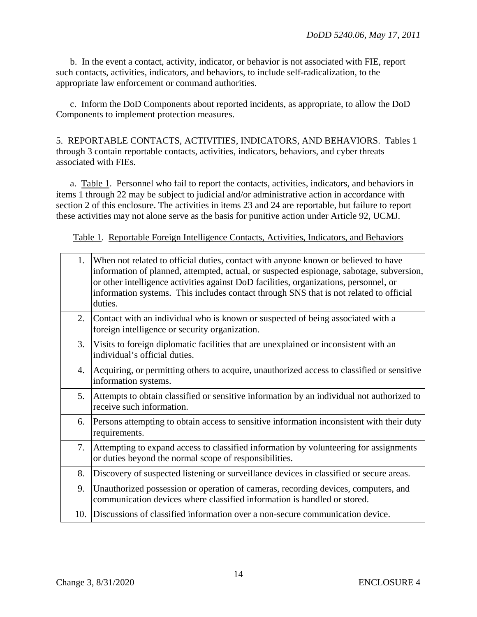b. In the event a contact, activity, indicator, or behavior is not associated with FIE, report such contacts, activities, indicators, and behaviors, to include self-radicalization, to the appropriate law enforcement or command authorities.

 c. Inform the DoD Components about reported incidents, as appropriate, to allow the DoD Components to implement protection measures.

5. REPORTABLE CONTACTS, ACTIVITIES, INDICATORS, AND BEHAVIORS. Tables 1 through 3 contain reportable contacts, activities, indicators, behaviors, and cyber threats associated with FIEs.

a. Table 1. Personnel who fail to report the contacts, activities, indicators, and behaviors in items 1 through 22 may be subject to judicial and/or administrative action in accordance with section 2 of this enclosure. The activities in items 23 and 24 are reportable, but failure to report these activities may not alone serve as the basis for punitive action under Article 92, UCMJ.

Table 1. Reportable Foreign Intelligence Contacts, Activities, Indicators, and Behaviors

| 1.  | When not related to official duties, contact with anyone known or believed to have<br>information of planned, attempted, actual, or suspected espionage, sabotage, subversion,<br>or other intelligence activities against DoD facilities, organizations, personnel, or<br>information systems. This includes contact through SNS that is not related to official<br>duties. |
|-----|------------------------------------------------------------------------------------------------------------------------------------------------------------------------------------------------------------------------------------------------------------------------------------------------------------------------------------------------------------------------------|
| 2.  | Contact with an individual who is known or suspected of being associated with a<br>foreign intelligence or security organization.                                                                                                                                                                                                                                            |
| 3.  | Visits to foreign diplomatic facilities that are unexplained or inconsistent with an<br>individual's official duties.                                                                                                                                                                                                                                                        |
| 4.  | Acquiring, or permitting others to acquire, unauthorized access to classified or sensitive<br>information systems.                                                                                                                                                                                                                                                           |
| 5.  | Attempts to obtain classified or sensitive information by an individual not authorized to<br>receive such information.                                                                                                                                                                                                                                                       |
| 6.  | Persons attempting to obtain access to sensitive information inconsistent with their duty<br>requirements.                                                                                                                                                                                                                                                                   |
| 7.  | Attempting to expand access to classified information by volunteering for assignments<br>or duties beyond the normal scope of responsibilities.                                                                                                                                                                                                                              |
| 8.  | Discovery of suspected listening or surveillance devices in classified or secure areas.                                                                                                                                                                                                                                                                                      |
| 9.  | Unauthorized possession or operation of cameras, recording devices, computers, and<br>communication devices where classified information is handled or stored.                                                                                                                                                                                                               |
| 10. | Discussions of classified information over a non-secure communication device.                                                                                                                                                                                                                                                                                                |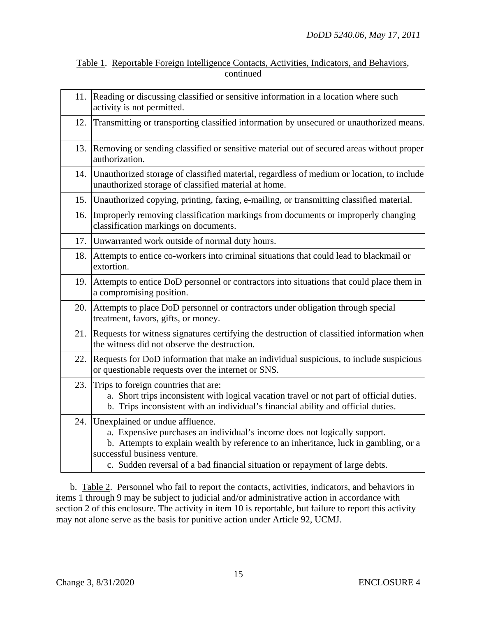| Table 1. Reportable Foreign Intelligence Contacts, Activities, Indicators, and Behaviors, |           |  |  |
|-------------------------------------------------------------------------------------------|-----------|--|--|
|                                                                                           | continued |  |  |

| 11. | Reading or discussing classified or sensitive information in a location where such<br>activity is not permitted.                                                                                                                                                                                                     |
|-----|----------------------------------------------------------------------------------------------------------------------------------------------------------------------------------------------------------------------------------------------------------------------------------------------------------------------|
| 12. | Transmitting or transporting classified information by unsecured or unauthorized means.                                                                                                                                                                                                                              |
| 13. | Removing or sending classified or sensitive material out of secured areas without proper<br>authorization.                                                                                                                                                                                                           |
| 14. | Unauthorized storage of classified material, regardless of medium or location, to include<br>unauthorized storage of classified material at home.                                                                                                                                                                    |
| 15. | Unauthorized copying, printing, faxing, e-mailing, or transmitting classified material.                                                                                                                                                                                                                              |
| 16. | Improperly removing classification markings from documents or improperly changing<br>classification markings on documents.                                                                                                                                                                                           |
|     | 17. Unwarranted work outside of normal duty hours.                                                                                                                                                                                                                                                                   |
| 18. | Attempts to entice co-workers into criminal situations that could lead to blackmail or<br>extortion.                                                                                                                                                                                                                 |
| 19. | Attempts to entice DoD personnel or contractors into situations that could place them in<br>a compromising position.                                                                                                                                                                                                 |
| 20. | Attempts to place DoD personnel or contractors under obligation through special<br>treatment, favors, gifts, or money.                                                                                                                                                                                               |
| 21. | Requests for witness signatures certifying the destruction of classified information when<br>the witness did not observe the destruction.                                                                                                                                                                            |
| 22. | Requests for DoD information that make an individual suspicious, to include suspicious<br>or questionable requests over the internet or SNS.                                                                                                                                                                         |
| 23. | Trips to foreign countries that are:<br>a. Short trips inconsistent with logical vacation travel or not part of official duties.<br>b. Trips inconsistent with an individual's financial ability and official duties.                                                                                                |
| 24. | Unexplained or undue affluence.<br>a. Expensive purchases an individual's income does not logically support.<br>b. Attempts to explain wealth by reference to an inheritance, luck in gambling, or a<br>successful business venture.<br>c. Sudden reversal of a bad financial situation or repayment of large debts. |

 b. Table 2. Personnel who fail to report the contacts, activities, indicators, and behaviors in items 1 through 9 may be subject to judicial and/or administrative action in accordance with section 2 of this enclosure. The activity in item 10 is reportable, but failure to report this activity may not alone serve as the basis for punitive action under Article 92, UCMJ.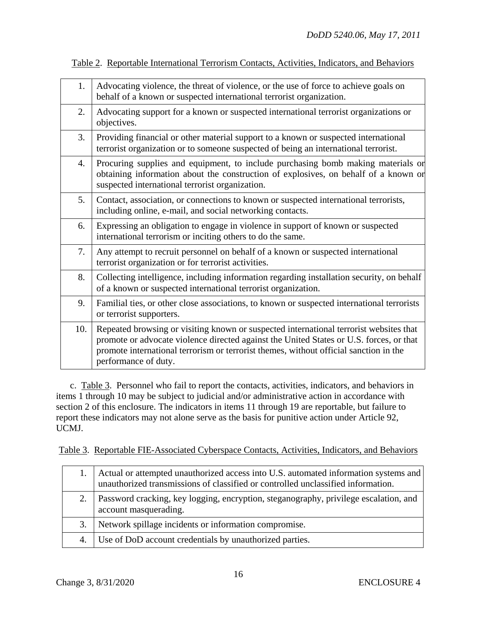| 1.  | Advocating violence, the threat of violence, or the use of force to achieve goals on<br>behalf of a known or suspected international terrorist organization.                                                                                                                                       |
|-----|----------------------------------------------------------------------------------------------------------------------------------------------------------------------------------------------------------------------------------------------------------------------------------------------------|
| 2.  | Advocating support for a known or suspected international terrorist organizations or<br>objectives.                                                                                                                                                                                                |
| 3.  | Providing financial or other material support to a known or suspected international<br>terrorist organization or to someone suspected of being an international terrorist.                                                                                                                         |
| 4.  | Procuring supplies and equipment, to include purchasing bomb making materials or<br>obtaining information about the construction of explosives, on behalf of a known or<br>suspected international terrorist organization.                                                                         |
| 5.  | Contact, association, or connections to known or suspected international terrorists,<br>including online, e-mail, and social networking contacts.                                                                                                                                                  |
| 6.  | Expressing an obligation to engage in violence in support of known or suspected<br>international terrorism or inciting others to do the same.                                                                                                                                                      |
| 7.  | Any attempt to recruit personnel on behalf of a known or suspected international<br>terrorist organization or for terrorist activities.                                                                                                                                                            |
| 8.  | Collecting intelligence, including information regarding installation security, on behalf<br>of a known or suspected international terrorist organization.                                                                                                                                         |
| 9.  | Familial ties, or other close associations, to known or suspected international terrorists<br>or terrorist supporters.                                                                                                                                                                             |
| 10. | Repeated browsing or visiting known or suspected international terrorist websites that<br>promote or advocate violence directed against the United States or U.S. forces, or that<br>promote international terrorism or terrorist themes, without official sanction in the<br>performance of duty. |

Table 2. Reportable International Terrorism Contacts, Activities, Indicators, and Behaviors

 c. Table 3. Personnel who fail to report the contacts, activities, indicators, and behaviors in items 1 through 10 may be subject to judicial and/or administrative action in accordance with section 2 of this enclosure. The indicators in items 11 through 19 are reportable, but failure to report these indicators may not alone serve as the basis for punitive action under Article 92, UCMJ.

Table 3. Reportable FIE-Associated Cyberspace Contacts, Activities, Indicators, and Behaviors

|    | Actual or attempted unauthorized access into U.S. automated information systems and<br>unauthorized transmissions of classified or controlled unclassified information. |
|----|-------------------------------------------------------------------------------------------------------------------------------------------------------------------------|
|    | Password cracking, key logging, encryption, steganography, privilege escalation, and<br>account masquerading.                                                           |
| 3. | Network spillage incidents or information compromise.                                                                                                                   |
| 4. | Use of DoD account credentials by unauthorized parties.                                                                                                                 |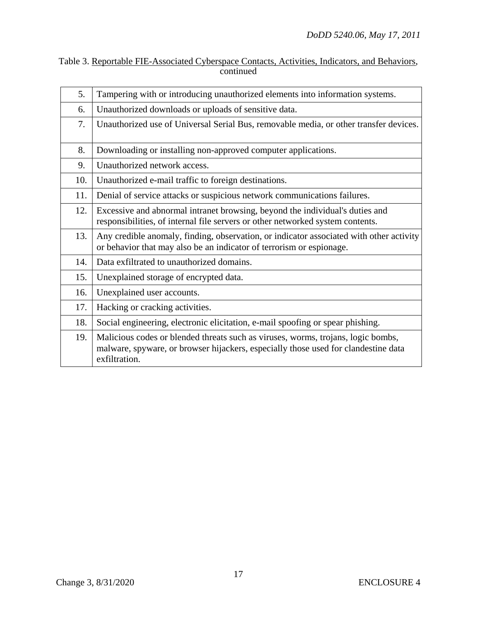| Table 3. Reportable FIE-Associated Cyberspace Contacts, Activities, Indicators, and Behaviors, |  |  |
|------------------------------------------------------------------------------------------------|--|--|
| continued                                                                                      |  |  |

| 5.  | Tampering with or introducing unauthorized elements into information systems.                                                                                                           |
|-----|-----------------------------------------------------------------------------------------------------------------------------------------------------------------------------------------|
| 6.  | Unauthorized downloads or uploads of sensitive data.                                                                                                                                    |
| 7.  | Unauthorized use of Universal Serial Bus, removable media, or other transfer devices.                                                                                                   |
| 8.  | Downloading or installing non-approved computer applications.                                                                                                                           |
| 9.  | Unauthorized network access.                                                                                                                                                            |
| 10. | Unauthorized e-mail traffic to foreign destinations.                                                                                                                                    |
| 11. | Denial of service attacks or suspicious network communications failures.                                                                                                                |
| 12. | Excessive and abnormal intranet browsing, beyond the individual's duties and<br>responsibilities, of internal file servers or other networked system contents.                          |
| 13. | Any credible anomaly, finding, observation, or indicator associated with other activity<br>or behavior that may also be an indicator of terrorism or espionage.                         |
| 14. | Data exfiltrated to unauthorized domains.                                                                                                                                               |
| 15. | Unexplained storage of encrypted data.                                                                                                                                                  |
| 16. | Unexplained user accounts.                                                                                                                                                              |
| 17. | Hacking or cracking activities.                                                                                                                                                         |
| 18. | Social engineering, electronic elicitation, e-mail spoofing or spear phishing.                                                                                                          |
| 19. | Malicious codes or blended threats such as viruses, worms, trojans, logic bombs,<br>malware, spyware, or browser hijackers, especially those used for clandestine data<br>exfiltration. |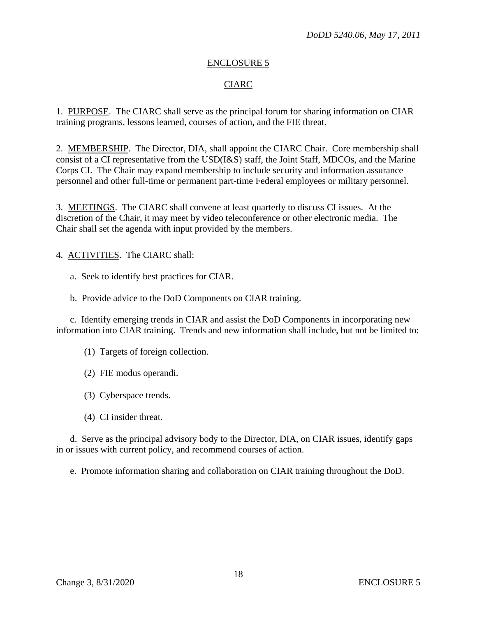#### CIARC

1. PURPOSE. The CIARC shall serve as the principal forum for sharing information on CIAR training programs, lessons learned, courses of action, and the FIE threat.

2. MEMBERSHIP. The Director, DIA, shall appoint the CIARC Chair. Core membership shall consist of a CI representative from the USD(I&S) staff, the Joint Staff, MDCOs, and the Marine Corps CI. The Chair may expand membership to include security and information assurance personnel and other full-time or permanent part-time Federal employees or military personnel.

3. MEETINGS. The CIARC shall convene at least quarterly to discuss CI issues. At the discretion of the Chair, it may meet by video teleconference or other electronic media. The Chair shall set the agenda with input provided by the members.

4. ACTIVITIES. The CIARC shall:

a. Seek to identify best practices for CIAR.

b. Provide advice to the DoD Components on CIAR training.

 c. Identify emerging trends in CIAR and assist the DoD Components in incorporating new information into CIAR training. Trends and new information shall include, but not be limited to:

- (1) Targets of foreign collection.
- (2) FIE modus operandi.
- (3) Cyberspace trends.
- (4) CI insider threat.

 d. Serve as the principal advisory body to the Director, DIA, on CIAR issues, identify gaps in or issues with current policy, and recommend courses of action.

e. Promote information sharing and collaboration on CIAR training throughout the DoD.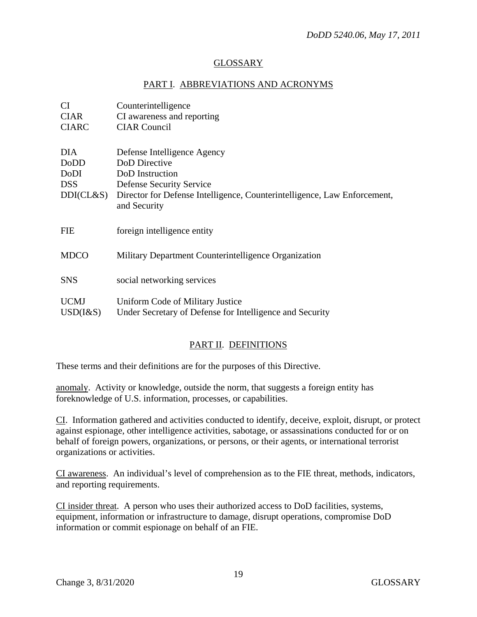# GLOSSARY

#### PART I. ABBREVIATIONS AND ACRONYMS

| CI.<br><b>CIAR</b>                                          | Counterintelligence<br>CI awareness and reporting                                                                                                                                       |
|-------------------------------------------------------------|-----------------------------------------------------------------------------------------------------------------------------------------------------------------------------------------|
| <b>CIARC</b>                                                | <b>CIAR Council</b>                                                                                                                                                                     |
| <b>DIA</b><br>DoDD<br>DoDI<br><b>DSS</b><br>$DDI (CL \& S)$ | Defense Intelligence Agency<br>DoD Directive<br>DoD Instruction<br>Defense Security Service<br>Director for Defense Intelligence, Counterintelligence, Law Enforcement,<br>and Security |
| <b>FIE</b>                                                  | foreign intelligence entity                                                                                                                                                             |
| <b>MDCO</b>                                                 | Military Department Counterintelligence Organization                                                                                                                                    |
| <b>SNS</b>                                                  | social networking services                                                                                                                                                              |
| <b>UCMJ</b><br>$USD(I\&S)$                                  | Uniform Code of Military Justice<br>Under Secretary of Defense for Intelligence and Security                                                                                            |

#### PART II. DEFINITIONS

These terms and their definitions are for the purposes of this Directive.

anomaly. Activity or knowledge, outside the norm, that suggests a foreign entity has foreknowledge of U.S. information, processes, or capabilities.

CI. Information gathered and activities conducted to identify, deceive, exploit, disrupt, or protect against espionage, other intelligence activities, sabotage, or assassinations conducted for or on behalf of foreign powers, organizations, or persons, or their agents, or international terrorist organizations or activities.

CI awareness. An individual's level of comprehension as to the FIE threat, methods, indicators, and reporting requirements.

CI insider threat. A person who uses their authorized access to DoD facilities, systems, equipment, information or infrastructure to damage, disrupt operations, compromise DoD information or commit espionage on behalf of an FIE.